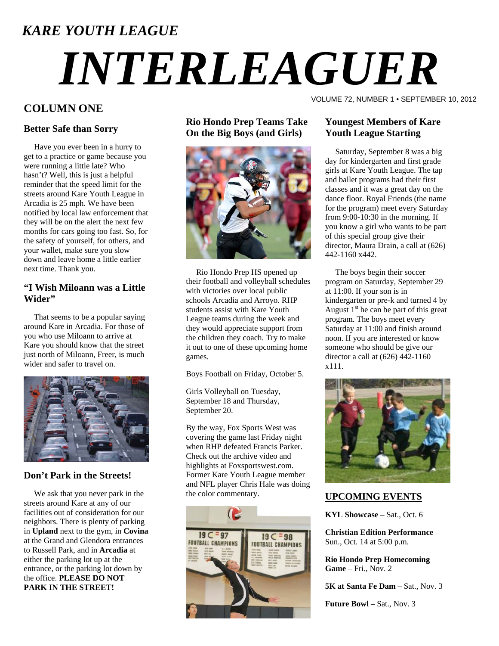# *KARE YOUTH LEAGUE*

# *INTERLEAGUER*

# **COLUMN ONE**

# **Better Safe than Sorry**

 Have you ever been in a hurry to get to a practice or game because you were running a little late? Who hasn't? Well, this is just a helpful reminder that the speed limit for the streets around Kare Youth League in Arcadia is 25 mph. We have been notified by local law enforcement that they will be on the alert the next few months for cars going too fast. So, for the safety of yourself, for others, and your wallet, make sure you slow down and leave home a little earlier next time. Thank you.

# **"I Wish Miloann was a Little Wider"**

 That seems to be a popular saying around Kare in Arcadia. For those of you who use Miloann to arrive at Kare you should know that the street just north of Miloann, Freer, is much wider and safer to travel on.



# **Don't Park in the Streets!**

 We ask that you never park in the streets around Kare at any of our facilities out of consideration for our neighbors. There is plenty of parking in **Upland** next to the gym, in **Covina** at the Grand and Glendora entrances to Russell Park, and in **Arcadia** at either the parking lot up at the entrance, or the parking lot down by the office. **PLEASE DO NOT PARK IN THE STREET!**

# **Rio Hondo Prep Teams Take On the Big Boys (and Girls)**



 Rio Hondo Prep HS opened up their football and volleyball schedules with victories over local public schools Arcadia and Arroyo. RHP students assist with Kare Youth League teams during the week and they would appreciate support from the children they coach. Try to make it out to one of these upcoming home games.

Boys Football on Friday, October 5.

Girls Volleyball on Tuesday, September 18 and Thursday, September 20.

By the way, Fox Sports West was covering the game last Friday night when RHP defeated Francis Parker. Check out the archive video and highlights at Foxsportswest.com. Former Kare Youth League member and NFL player Chris Hale was doing the color commentary.



# VOLUME 72, NUMBER 1 • SEPTEMBER 10, 2012

# **Youngest Members of Kare Youth League Starting**

 Saturday, September 8 was a big day for kindergarten and first grade girls at Kare Youth League. The tap and ballet programs had their first classes and it was a great day on the dance floor. Royal Friends (the name for the program) meet every Saturday from 9:00-10:30 in the morning. If you know a girl who wants to be part of this special group give their director, Maura Drain, a call at (626) 442-1160 x442.

 The boys begin their soccer program on Saturday, September 29 at 11:00. If your son is in kindergarten or pre-k and turned 4 by August  $1<sup>st</sup>$  he can be part of this great program. The boys meet every Saturday at 11:00 and finish around noon. If you are interested or know someone who should be give our director a call at (626) 442-1160 x111.



# **UPCOMING EVENTS**

**KYL Showcase** – Sat., Oct. 6

**Christian Edition Performance** – Sun., Oct. 14 at 5:00 p.m.

**Rio Hondo Prep Homecoming Game** – Fri., Nov. 2

**5K at Santa Fe Dam** – Sat., Nov. 3

**Future Bowl** – Sat., Nov. 3